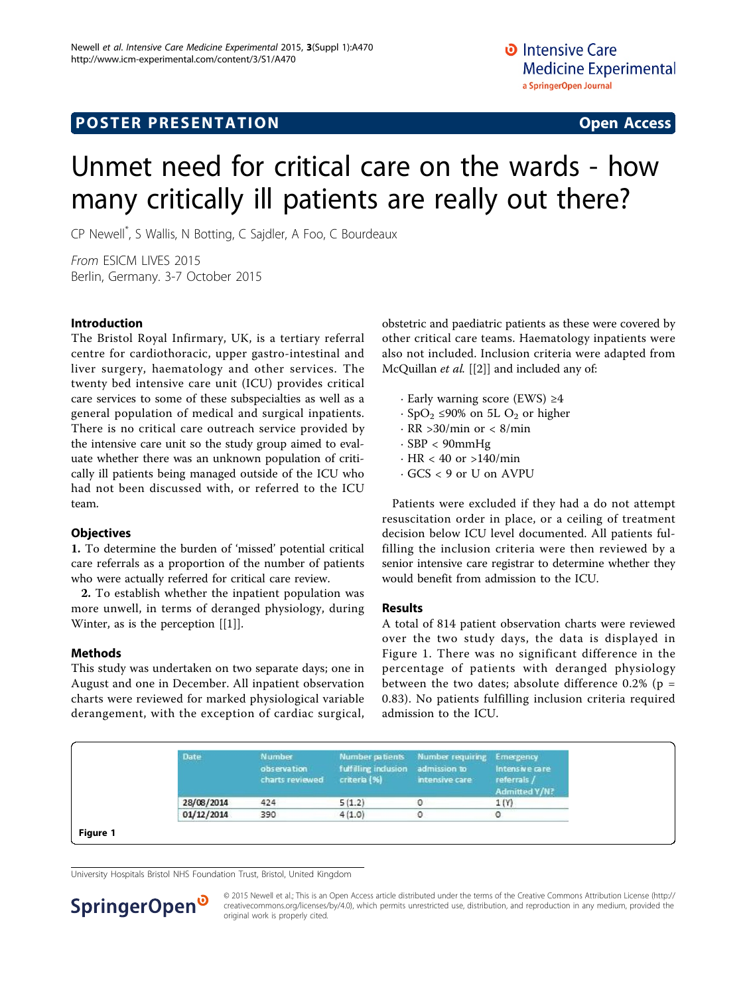## **POSTER PRESENTATION CONSUMING THE SERVICE SERVICE SERVICES**

# Unmet need for critical care on the wards - how many critically ill patients are really out there?

CP Newell\* , S Wallis, N Botting, C Sajdler, A Foo, C Bourdeaux

From ESICM LIVES 2015 Berlin, Germany. 3-7 October 2015

#### Introduction

The Bristol Royal Infirmary, UK, is a tertiary referral centre for cardiothoracic, upper gastro-intestinal and liver surgery, haematology and other services. The twenty bed intensive care unit (ICU) provides critical care services to some of these subspecialties as well as a general population of medical and surgical inpatients. There is no critical care outreach service provided by the intensive care unit so the study group aimed to evaluate whether there was an unknown population of critically ill patients being managed outside of the ICU who had not been discussed with, or referred to the ICU team.

#### **Objectives**

1. To determine the burden of 'missed' potential critical care referrals as a proportion of the number of patients who were actually referred for critical care review.

2. To establish whether the inpatient population was more unwell, in terms of deranged physiology, during Winter, as is the perception [[[1\]](#page-1-0)].

#### Methods

This study was undertaken on two separate days; one in August and one in December. All inpatient observation charts were reviewed for marked physiological variable derangement, with the exception of cardiac surgical, obstetric and paediatric patients as these were covered by other critical care teams. Haematology inpatients were also not included. Inclusion criteria were adapted from McQuillan et al. [[\[2](#page-1-0)]] and included any of:

- · Early warning score (EWS) ≥4
- $\cdot$  SpO<sub>2</sub> ≤90% on 5L O<sub>2</sub> or higher
- $\cdot$  RR >30/min or < 8/min
- $\cdot$  SBP  $<$  90mmHg
- · HR < 40 or >140/min
- · GCS < 9 or U on AVPU

Patients were excluded if they had a do not attempt resuscitation order in place, or a ceiling of treatment decision below ICU level documented. All patients fulfilling the inclusion criteria were then reviewed by a senior intensive care registrar to determine whether they would benefit from admission to the ICU.

#### Results

A total of 814 patient observation charts were reviewed over the two study days, the data is displayed in Figure 1. There was no significant difference in the percentage of patients with deranged physiology between the two dates; absolute difference  $0.2\%$  (p = 0.83). No patients fulfilling inclusion criteria required admission to the ICU.

| Date       | Number<br>observation<br>charts reviewed | <b>Number patients</b><br>fulfilling inclusion<br>criteria (%) | Number requiring Emergency<br>admission to<br>intensive care | Intensive care<br>referrals /<br>Admitted Y/N? |
|------------|------------------------------------------|----------------------------------------------------------------|--------------------------------------------------------------|------------------------------------------------|
| 28/08/2014 | 424                                      | 5(1.2)                                                         | o                                                            | 1(Y)                                           |
| 01/12/2014 | 390                                      | 4(1.0)                                                         |                                                              | 0                                              |

University Hospitals Bristol NHS Foundation Trust, Bristol, United Kingdom



© 2015 Newell et al.; This is an Open Access article distributed under the terms of the Creative Commons Attribution License [\(http://](http://creativecommons.org/licenses/by/4.0) [creativecommons.org/licenses/by/4.0](http://creativecommons.org/licenses/by/4.0)), which permits unrestricted use, distribution, and reproduction in any medium, provided the original work is properly cited.